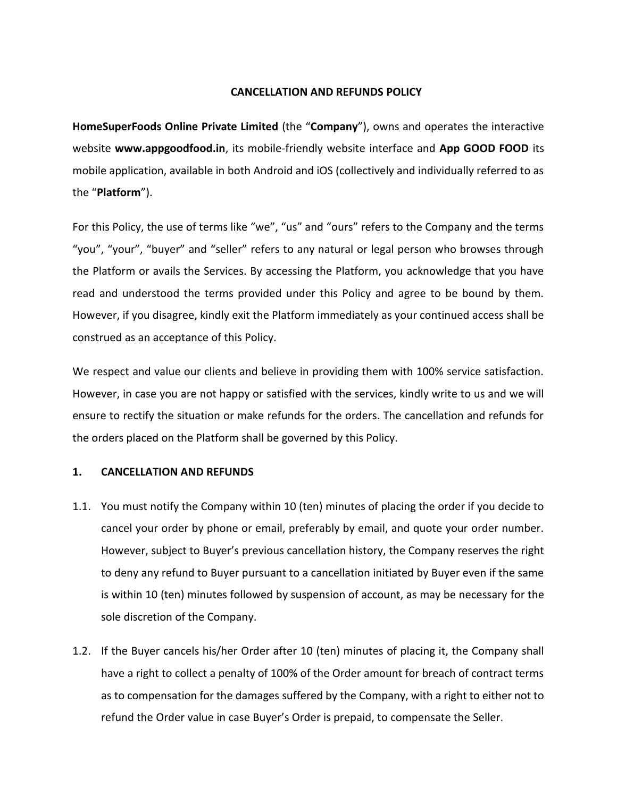## **CANCELLATION AND REFUNDS POLICY**

**HomeSuperFoods Online Private Limited** (the "**Company**"), owns and operates the interactive website **www.appgoodfood.in**, its mobile-friendly website interface and **App GOOD FOOD** its mobile application, available in both Android and iOS (collectively and individually referred to as the "**Platform**").

For this Policy, the use of terms like "we", "us" and "ours" refers to the Company and the terms "you", "your", "buyer" and "seller" refers to any natural or legal person who browses through the Platform or avails the Services. By accessing the Platform, you acknowledge that you have read and understood the terms provided under this Policy and agree to be bound by them. However, if you disagree, kindly exit the Platform immediately as your continued access shall be construed as an acceptance of this Policy.

We respect and value our clients and believe in providing them with 100% service satisfaction. However, in case you are not happy or satisfied with the services, kindly write to us and we will ensure to rectify the situation or make refunds for the orders. The cancellation and refunds for the orders placed on the Platform shall be governed by this Policy.

## **1. CANCELLATION AND REFUNDS**

- 1.1. You must notify the Company within 10 (ten) minutes of placing the order if you decide to cancel your order by phone or email, preferably by email, and quote your order number. However, subject to Buyer's previous cancellation history, the Company reserves the right to deny any refund to Buyer pursuant to a cancellation initiated by Buyer even if the same is within 10 (ten) minutes followed by suspension of account, as may be necessary for the sole discretion of the Company.
- 1.2. If the Buyer cancels his/her Order after 10 (ten) minutes of placing it, the Company shall have a right to collect a penalty of 100% of the Order amount for breach of contract terms as to compensation for the damages suffered by the Company, with a right to either not to refund the Order value in case Buyer's Order is prepaid, to compensate the Seller.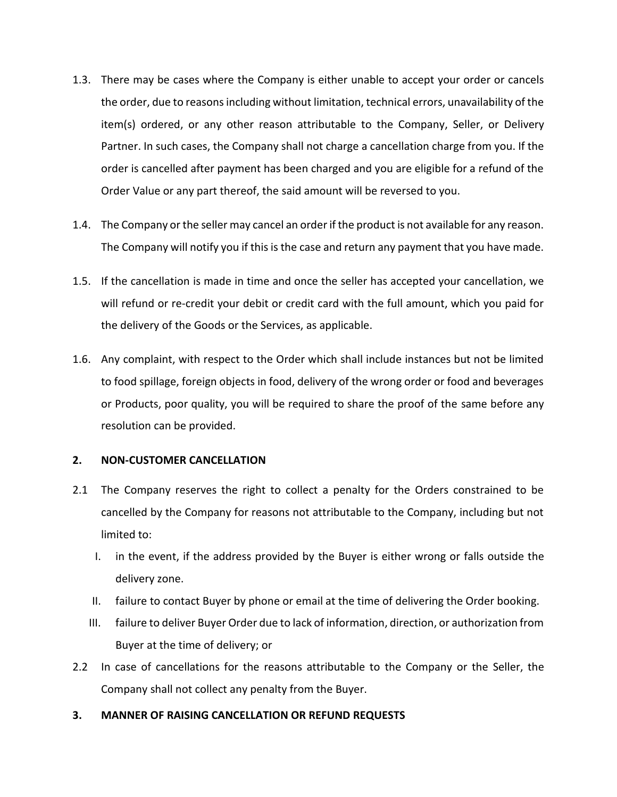- 1.3. There may be cases where the Company is either unable to accept your order or cancels the order, due to reasons including without limitation, technical errors, unavailability of the item(s) ordered, or any other reason attributable to the Company, Seller, or Delivery Partner. In such cases, the Company shall not charge a cancellation charge from you. If the order is cancelled after payment has been charged and you are eligible for a refund of the Order Value or any part thereof, the said amount will be reversed to you.
- 1.4. The Company or the seller may cancel an order if the product is not available for any reason. The Company will notify you if this is the case and return any payment that you have made.
- 1.5. If the cancellation is made in time and once the seller has accepted your cancellation, we will refund or re-credit your debit or credit card with the full amount, which you paid for the delivery of the Goods or the Services, as applicable.
- 1.6. Any complaint, with respect to the Order which shall include instances but not be limited to food spillage, foreign objects in food, delivery of the wrong order or food and beverages or Products, poor quality, you will be required to share the proof of the same before any resolution can be provided.

## **2. NON-CUSTOMER CANCELLATION**

- 2.1 The Company reserves the right to collect a penalty for the Orders constrained to be cancelled by the Company for reasons not attributable to the Company, including but not limited to:
	- I. in the event, if the address provided by the Buyer is either wrong or falls outside the delivery zone.
	- II. failure to contact Buyer by phone or email at the time of delivering the Order booking.
	- III. failure to deliver Buyer Order due to lack of information, direction, or authorization from Buyer at the time of delivery; or
- 2.2 In case of cancellations for the reasons attributable to the Company or the Seller, the Company shall not collect any penalty from the Buyer.
- **3. MANNER OF RAISING CANCELLATION OR REFUND REQUESTS**